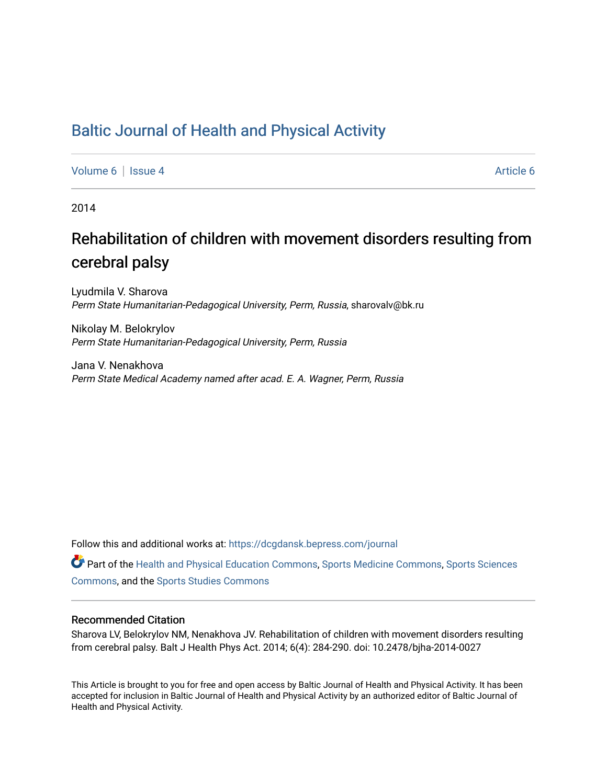# [Baltic Journal of Health and Physical Activity](https://dcgdansk.bepress.com/journal)

[Volume 6](https://dcgdansk.bepress.com/journal/vol6) | [Issue 4](https://dcgdansk.bepress.com/journal/vol6/iss4) [Article 6](https://dcgdansk.bepress.com/journal/vol6/iss4/6) | Article 6 Article 6 | Article 6 Article 6 | Article 6 | Article 6 | Article 6 |

2014

# Rehabilitation of children with movement disorders resulting from cerebral palsy

Lyudmila V. Sharova Perm State Humanitarian-Pedagogical University, Perm, Russia, sharovalv@bk.ru

Nikolay M. Belokrylov Perm State Humanitarian-Pedagogical University, Perm, Russia

Jana V. Nenakhova Perm State Medical Academy named after acad. E. A. Wagner, Perm, Russia

Follow this and additional works at: [https://dcgdansk.bepress.com/journal](https://dcgdansk.bepress.com/journal?utm_source=dcgdansk.bepress.com%2Fjournal%2Fvol6%2Fiss4%2F6&utm_medium=PDF&utm_campaign=PDFCoverPages)

Part of the [Health and Physical Education Commons](http://network.bepress.com/hgg/discipline/1327?utm_source=dcgdansk.bepress.com%2Fjournal%2Fvol6%2Fiss4%2F6&utm_medium=PDF&utm_campaign=PDFCoverPages), [Sports Medicine Commons,](http://network.bepress.com/hgg/discipline/1331?utm_source=dcgdansk.bepress.com%2Fjournal%2Fvol6%2Fiss4%2F6&utm_medium=PDF&utm_campaign=PDFCoverPages) [Sports Sciences](http://network.bepress.com/hgg/discipline/759?utm_source=dcgdansk.bepress.com%2Fjournal%2Fvol6%2Fiss4%2F6&utm_medium=PDF&utm_campaign=PDFCoverPages) [Commons](http://network.bepress.com/hgg/discipline/759?utm_source=dcgdansk.bepress.com%2Fjournal%2Fvol6%2Fiss4%2F6&utm_medium=PDF&utm_campaign=PDFCoverPages), and the [Sports Studies Commons](http://network.bepress.com/hgg/discipline/1198?utm_source=dcgdansk.bepress.com%2Fjournal%2Fvol6%2Fiss4%2F6&utm_medium=PDF&utm_campaign=PDFCoverPages) 

#### Recommended Citation

Sharova LV, Belokrylov NM, Nenakhova JV. Rehabilitation of children with movement disorders resulting from cerebral palsy. Balt J Health Phys Act. 2014; 6(4): 284-290. doi: 10.2478/bjha-2014-0027

This Article is brought to you for free and open access by Baltic Journal of Health and Physical Activity. It has been accepted for inclusion in Baltic Journal of Health and Physical Activity by an authorized editor of Baltic Journal of Health and Physical Activity.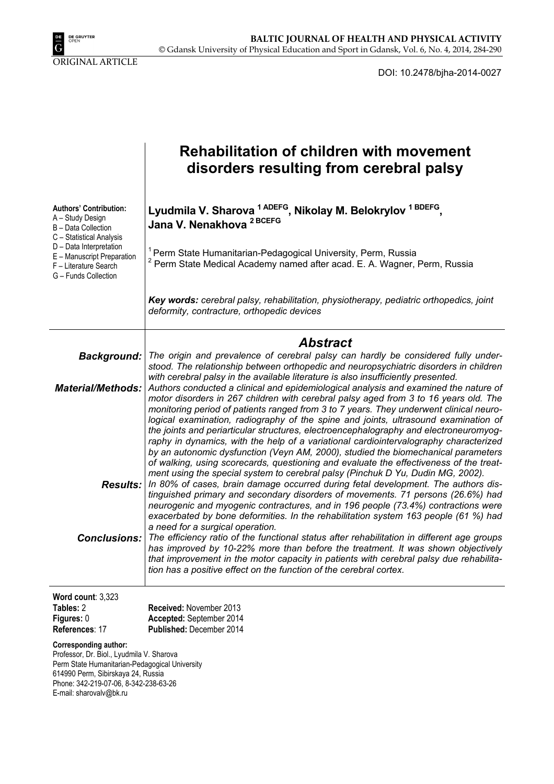

DOI: 10.2478/bjha-2014-0027

|                                                                                                                                                                                                                                | <b>Rehabilitation of children with movement</b><br>disorders resulting from cerebral palsy                                                                                                                                                                                                                                                                                                                                                                                                                                                                                                                                                                                                                                                                                                                          |  |  |  |  |
|--------------------------------------------------------------------------------------------------------------------------------------------------------------------------------------------------------------------------------|---------------------------------------------------------------------------------------------------------------------------------------------------------------------------------------------------------------------------------------------------------------------------------------------------------------------------------------------------------------------------------------------------------------------------------------------------------------------------------------------------------------------------------------------------------------------------------------------------------------------------------------------------------------------------------------------------------------------------------------------------------------------------------------------------------------------|--|--|--|--|
| <b>Authors' Contribution:</b><br>A - Study Design<br>B - Data Collection<br>C - Statistical Analysis                                                                                                                           | Lyudmila V. Sharova <sup>1 ADEFG</sup> , Nikolay M. Belokrylov <sup>1 BDEFG</sup> ,<br>Jana V. Nenakhova <sup>2 BCEFG</sup>                                                                                                                                                                                                                                                                                                                                                                                                                                                                                                                                                                                                                                                                                         |  |  |  |  |
| D - Data Interpretation<br>E - Manuscript Preparation<br>F - Literature Search<br>G - Funds Collection                                                                                                                         | Perm State Humanitarian-Pedagogical University, Perm, Russia<br>Perm State Medical Academy named after acad. E. A. Wagner, Perm, Russia                                                                                                                                                                                                                                                                                                                                                                                                                                                                                                                                                                                                                                                                             |  |  |  |  |
|                                                                                                                                                                                                                                | Key words: cerebral palsy, rehabilitation, physiotherapy, pediatric orthopedics, joint<br>deformity, contracture, orthopedic devices                                                                                                                                                                                                                                                                                                                                                                                                                                                                                                                                                                                                                                                                                |  |  |  |  |
|                                                                                                                                                                                                                                | Abstract                                                                                                                                                                                                                                                                                                                                                                                                                                                                                                                                                                                                                                                                                                                                                                                                            |  |  |  |  |
| <b>Background:</b>                                                                                                                                                                                                             | The origin and prevalence of cerebral palsy can hardly be considered fully under-<br>stood. The relationship between orthopedic and neuropsychiatric disorders in children                                                                                                                                                                                                                                                                                                                                                                                                                                                                                                                                                                                                                                          |  |  |  |  |
| <b>Material/Methods:</b>                                                                                                                                                                                                       | with cerebral palsy in the available literature is also insufficiently presented.<br>Authors conducted a clinical and epidemiological analysis and examined the nature of<br>motor disorders in 267 children with cerebral palsy aged from 3 to 16 years old. The<br>monitoring period of patients ranged from 3 to 7 years. They underwent clinical neuro-<br>logical examination, radiography of the spine and joints, ultrasound examination of<br>the joints and periarticular structures, electroencephalography and electroneuromyog-<br>raphy in dynamics, with the help of a variational cardiointervalography characterized<br>by an autonomic dysfunction (Veyn AM, 2000), studied the biomechanical parameters<br>of walking, using scorecards, questioning and evaluate the effectiveness of the treat- |  |  |  |  |
|                                                                                                                                                                                                                                | ment using the special system to cerebral palsy (Pinchuk D Yu, Dudin MG, 2002).<br>Results:   In 80% of cases, brain damage occurred during fetal development. The authors dis-<br>tinguished primary and secondary disorders of movements. 71 persons (26.6%) had<br>neurogenic and myogenic contractures, and in 196 people (73.4%) contractions were<br>exacerbated by bone deformities. In the rehabilitation system 163 people (61 %) had<br>a need for a surgical operation.                                                                                                                                                                                                                                                                                                                                  |  |  |  |  |
| <b>Conclusions:</b>                                                                                                                                                                                                            | The efficiency ratio of the functional status after rehabilitation in different age groups<br>has improved by 10-22% more than before the treatment. It was shown objectively<br>that improvement in the motor capacity in patients with cerebral palsy due rehabilita-<br>tion has a positive effect on the function of the cerebral cortex.                                                                                                                                                                                                                                                                                                                                                                                                                                                                       |  |  |  |  |
| Word count: $3,323$<br>Tables: 2<br>Figures: 0<br>References: 17                                                                                                                                                               | Received: November 2013<br>Accepted: September 2014<br>Published: December 2014                                                                                                                                                                                                                                                                                                                                                                                                                                                                                                                                                                                                                                                                                                                                     |  |  |  |  |
| Corresponding author:<br>Professor, Dr. Biol., Lyudmila V. Sharova<br>Perm State Humanitarian-Pedagogical University<br>614990 Perm, Sibirskaya 24, Russia<br>Phone: 342-219-07-06, 8-342-238-63-26<br>E-mail: sharovalv@bk.ru |                                                                                                                                                                                                                                                                                                                                                                                                                                                                                                                                                                                                                                                                                                                                                                                                                     |  |  |  |  |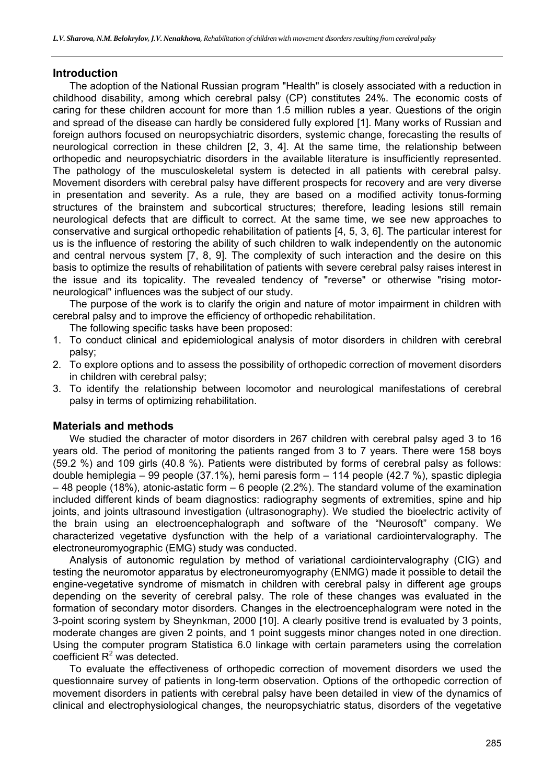### **Introduction**

The adoption of the National Russian program "Health" is closely associated with a reduction in childhood disability, among which cerebral palsy (CP) constitutes 24%. The economic costs of caring for these children account for more than 1.5 million rubles a year. Questions of the origin and spread of the disease can hardly be considered fully explored [1]. Many works of Russian and foreign authors focused on neuropsychiatric disorders, systemic change, forecasting the results of neurological correction in these children [2, 3, 4]. At the same time, the relationship between orthopedic and neuropsychiatric disorders in the available literature is insufficiently represented. The pathology of the musculoskeletal system is detected in all patients with cerebral palsy. Movement disorders with cerebral palsy have different prospects for recovery and are very diverse in presentation and severity. As a rule, they are based on a modified activity tonus-forming structures of the brainstem and subcortical structures; therefore, leading lesions still remain neurological defects that are difficult to correct. At the same time, we see new approaches to conservative and surgical orthopedic rehabilitation of patients [4, 5, 3, 6]. The particular interest for us is the influence of restoring the ability of such children to walk independently on the autonomic and central nervous system [7, 8, 9]. The complexity of such interaction and the desire on this basis to optimize the results of rehabilitation of patients with severe cerebral palsy raises interest in the issue and its topicality. The revealed tendency of "reverse" or otherwise "rising motorneurological" influences was the subject of our study.

The purpose of the work is to clarify the origin and nature of motor impairment in children with cerebral palsy and to improve the efficiency of orthopedic rehabilitation.

The following specific tasks have been proposed:

- 1. To conduct clinical and epidemiological analysis of motor disorders in children with cerebral palsy;
- 2. To explore options and to assess the possibility of orthopedic correction of movement disorders in children with cerebral palsy;
- 3. To identify the relationship between locomotor and neurological manifestations of cerebral palsy in terms of optimizing rehabilitation.

# **Materials and methods**

We studied the character of motor disorders in 267 children with cerebral palsy aged 3 to 16 years old. The period of monitoring the patients ranged from 3 to 7 years. There were 158 boys (59.2 %) and 109 girls (40.8 %). Patients were distributed by forms of cerebral palsy as follows: double hemiplegia – 99 people (37.1%), hemi paresis form – 114 people (42.7 %), spastic diplegia – 48 people (18%), atonic-astatic form – 6 people (2.2%). The standard volume of the examination included different kinds of beam diagnostics: radiography segments of extremities, spine and hip joints, and joints ultrasound investigation (ultrasonography). We studied the bioelectric activity of the brain using an electroencephalograph and software of the "Neurosoft" company. We characterized vegetative dysfunction with the help of a variational cardiointervalography. The electroneuromyographic (EMG) study was conducted.

Analysis of autonomic regulation by method of variational cardiointervalography (CIG) and testing the neuromotor apparatus by electroneuromyography (ENMG) made it possible to detail the engine-vegetative syndrome of mismatch in children with cerebral palsy in different age groups depending on the severity of cerebral palsy. The role of these changes was evaluated in the formation of secondary motor disorders. Changes in the electroencephalogram were noted in the 3-point scoring system by Sheynkman, 2000 [10]. A clearly positive trend is evaluated by 3 points, moderate changes are given 2 points, and 1 point suggests minor changes noted in one direction. Using the computer program Statistica 6.0 linkage with certain parameters using the correlation coefficient  $R^2$  was detected.

To evaluate the effectiveness of orthopedic correction of movement disorders we used the questionnaire survey of patients in long-term observation. Options of the orthopedic correction of movement disorders in patients with cerebral palsy have been detailed in view of the dynamics of clinical and electrophysiological changes, the neuropsychiatric status, disorders of the vegetative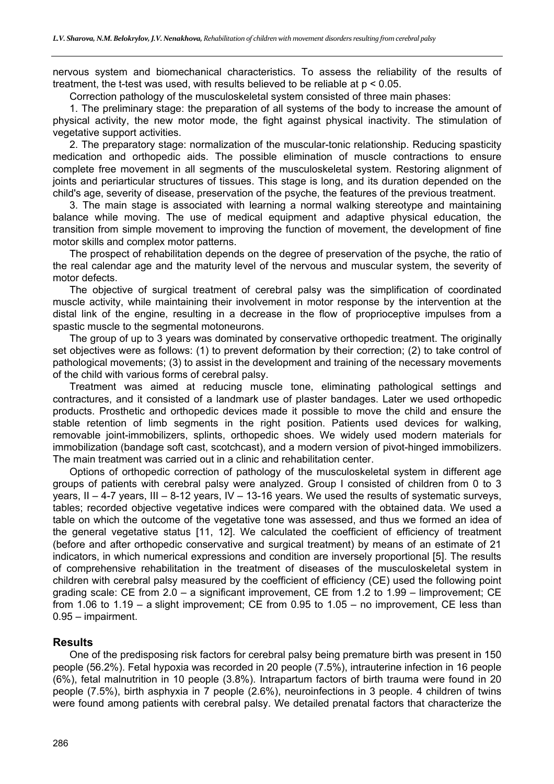nervous system and biomechanical characteristics. To assess the reliability of the results of treatment, the t-test was used, with results believed to be reliable at  $p < 0.05$ .

Correction pathology of the musculoskeletal system consisted of three main phases:

1. The preliminary stage: the preparation of all systems of the body to increase the amount of physical activity, the new motor mode, the fight against physical inactivity. The stimulation of vegetative support activities.

2. The preparatory stage: normalization of the muscular-tonic relationship. Reducing spasticity medication and orthopedic aids. The possible elimination of muscle contractions to ensure complete free movement in all segments of the musculoskeletal system. Restoring alignment of joints and periarticular structures of tissues. This stage is long, and its duration depended on the child's age, severity of disease, preservation of the psyche, the features of the previous treatment.

3. The main stage is associated with learning a normal walking stereotype and maintaining balance while moving. The use of medical equipment and adaptive physical education, the transition from simple movement to improving the function of movement, the development of fine motor skills and complex motor patterns.

The prospect of rehabilitation depends on the degree of preservation of the psyche, the ratio of the real calendar age and the maturity level of the nervous and muscular system, the severity of motor defects.

The objective of surgical treatment of cerebral palsy was the simplification of coordinated muscle activity, while maintaining their involvement in motor response by the intervention at the distal link of the engine, resulting in a decrease in the flow of proprioceptive impulses from a spastic muscle to the segmental motoneurons.

The group of up to 3 years was dominated by conservative orthopedic treatment. The originally set objectives were as follows: (1) to prevent deformation by their correction; (2) to take control of pathological movements; (3) to assist in the development and training of the necessary movements of the child with various forms of cerebral palsy.

Treatment was aimed at reducing muscle tone, eliminating pathological settings and contractures, and it consisted of a landmark use of plaster bandages. Later we used orthopedic products. Prosthetic and orthopedic devices made it possible to move the child and ensure the stable retention of limb segments in the right position. Patients used devices for walking, removable joint-immobilizers, splints, orthopedic shoes. We widely used modern materials for immobilization (bandage soft cast, scotchcast), and a modern version of pivot-hinged immobilizers. The main treatment was carried out in a clinic and rehabilitation center.

Options of orthopedic correction of pathology of the musculoskeletal system in different age groups of patients with cerebral palsy were analyzed. Group I consisted of children from 0 to 3 years, II – 4-7 years, III – 8-12 years, IV – 13-16 years. We used the results of systematic surveys, tables; recorded objective vegetative indices were compared with the obtained data. We used a table on which the outcome of the vegetative tone was assessed, and thus we formed an idea of the general vegetative status [11, 12]. We calculated the coefficient of efficiency of treatment (before and after orthopedic conservative and surgical treatment) by means of an estimate of 21 indicators, in which numerical expressions and condition are inversely proportional [5]. The results of comprehensive rehabilitation in the treatment of diseases of the musculoskeletal system in children with cerebral palsy measured by the coefficient of efficiency (CE) used the following point grading scale: CE from 2.0 – a significant improvement, CE from 1.2 to 1.99 – limprovement; CE from 1.06 to 1.19 – a slight improvement; CE from 0.95 to 1.05 – no improvement, CE less than 0.95 – impairment.

# **Results**

One of the predisposing risk factors for cerebral palsy being premature birth was present in 150 people (56.2%). Fetal hypoxia was recorded in 20 people (7.5%), intrauterine infection in 16 people (6%), fetal malnutrition in 10 people (3.8%). Intrapartum factors of birth trauma were found in 20 people (7.5%), birth asphyxia in 7 people (2.6%), neuroinfections in 3 people. 4 children of twins were found among patients with cerebral palsy. We detailed prenatal factors that characterize the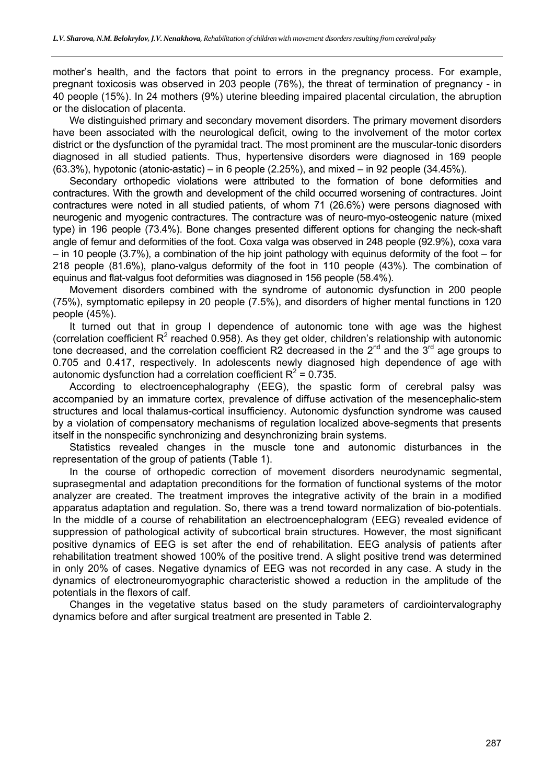mother's health, and the factors that point to errors in the pregnancy process. For example, pregnant toxicosis was observed in 203 people (76%), the threat of termination of pregnancy - in 40 people (15%). In 24 mothers (9%) uterine bleeding impaired placental circulation, the abruption or the dislocation of placenta.

We distinguished primary and secondary movement disorders. The primary movement disorders have been associated with the neurological deficit, owing to the involvement of the motor cortex district or the dysfunction of the pyramidal tract. The most prominent are the muscular-tonic disorders diagnosed in all studied patients. Thus, hypertensive disorders were diagnosed in 169 people  $(63.3\%)$ , hypotonic (atonic-astatic) – in 6 people  $(2.25\%)$ , and mixed – in 92 people  $(34.45\%)$ .

Secondary orthopedic violations were attributed to the formation of bone deformities and contractures. With the growth and development of the child occurred worsening of contractures. Joint contractures were noted in all studied patients, of whom 71 (26.6%) were persons diagnosed with neurogenic and myogenic contractures. The contracture was of neuro-myo-osteogenic nature (mixed type) in 196 people (73.4%). Bone changes presented different options for changing the neck-shaft angle of femur and deformities of the foot. Coxa valga was observed in 248 people (92.9%), coxa vara – in 10 people (3.7%), a combination of the hip joint pathology with equinus deformity of the foot – for 218 people (81.6%), plano-valgus deformity of the foot in 110 people (43%). The combination of equinus and flat-valgus foot deformities was diagnosed in 156 people (58.4%).

Movement disorders combined with the syndrome of autonomic dysfunction in 200 people (75%), symptomatic epilepsy in 20 people (7.5%), and disorders of higher mental functions in 120 people (45%).

It turned out that in group I dependence of autonomic tone with age was the highest (correlation coefficient  $R^2$  reached 0.958). As they get older, children's relationship with autonomic tone decreased, and the correlation coefficient R2 decreased in the  $2^{nd}$  and the  $3^{rd}$  age groups to 0.705 and 0.417, respectively. In adolescents newly diagnosed high dependence of age with autonomic dysfunction had a correlation coefficient  $R^2$  = 0.735.

According to electroencephalography (EEG), the spastic form of cerebral palsy was accompanied by an immature cortex, prevalence of diffuse activation of the mesencephalic-stem structures and local thalamus-cortical insufficiency. Autonomic dysfunction syndrome was caused by a violation of compensatory mechanisms of regulation localized above-segments that presents itself in the nonspecific synchronizing and desynchronizing brain systems.

Statistics revealed changes in the muscle tone and autonomic disturbances in the representation of the group of patients (Table 1).

In the course of orthopedic correction of movement disorders neurodynamic segmental, suprasegmental and adaptation preconditions for the formation of functional systems of the motor analyzer are created. The treatment improves the integrative activity of the brain in a modified apparatus adaptation and regulation. So, there was a trend toward normalization of bio-potentials. In the middle of a course of rehabilitation an electroencephalogram (EEG) revealed evidence of suppression of pathological activity of subcortical brain structures. However, the most significant positive dynamics of EEG is set after the end of rehabilitation. EEG analysis of patients after rehabilitation treatment showed 100% of the positive trend. A slight positive trend was determined in only 20% of cases. Negative dynamics of EEG was not recorded in any case. A study in the dynamics of electroneuromyographic characteristic showed a reduction in the amplitude of the potentials in the flexors of calf.

Changes in the vegetative status based on the study parameters of cardiointervalography dynamics before and after surgical treatment are presented in Table 2.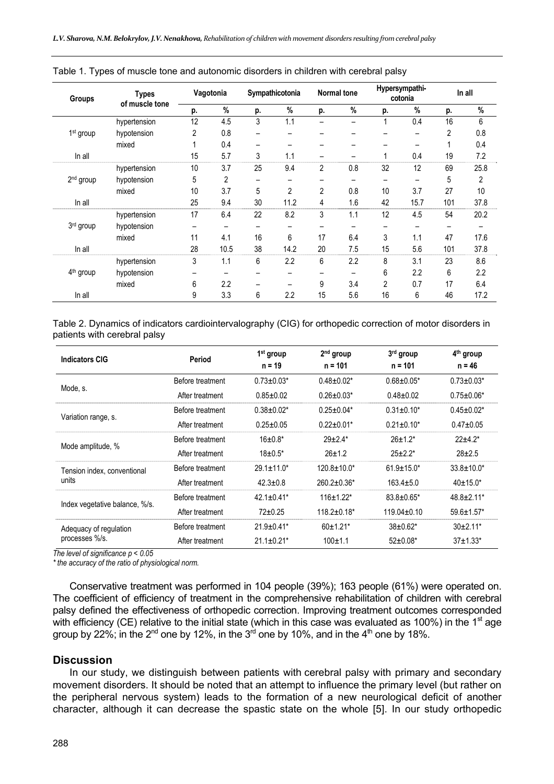| <b>Groups</b>         | <b>Types</b><br>of muscle tone | Vagotonia |      | Sympathicotonia |                | <b>Normal tone</b> |     | Hypersympathi-<br>cotonia |      | In all |      |
|-----------------------|--------------------------------|-----------|------|-----------------|----------------|--------------------|-----|---------------------------|------|--------|------|
|                       |                                | p.        | %    | p.              | %              | p.                 | %   | p.                        | %    | p.     | %    |
|                       | hypertension                   | 12        | 4.5  | 3               | 1.1            |                    |     | 1                         | 0.4  | 16     | 6    |
| 1 <sup>st</sup> group | hypotension                    | 2         | 0.8  |                 |                |                    |     |                           | -    | 2      | 0.8  |
|                       | mixed                          |           | 0.4  |                 |                |                    |     |                           |      |        | 0.4  |
| In all                |                                | 15        | 5.7  | 3               | 1.1            |                    |     |                           | 0.4  | 19     | 7.2  |
|                       | hypertension                   | 10        | 3.7  | 25              | 9.4            | 2                  | 0.8 | 32                        | 12   | 69     | 25.8 |
| 2 <sup>nd</sup> group | hypotension                    | 5         | 2    |                 |                |                    |     |                           |      | 5      | 2    |
|                       | mixed                          | 10        | 3.7  | 5               | $\overline{2}$ | $\overline{2}$     | 0.8 | 10                        | 3.7  | 27     | 10   |
| In all                |                                | 25        | 9.4  | 30              | 11.2           | 4                  | 1.6 | 42                        | 15.7 | 101    | 37.8 |
| $3rd$ group           | hypertension                   | 17        | 6.4  | 22              | 8.2            | 3                  | 1.1 | 12                        | 4.5  | 54     | 20.2 |
|                       | hypotension                    | -         | -    |                 |                |                    |     |                           |      |        |      |
|                       | mixed                          | 11        | 4.1  | 16              | 6              | 17                 | 6.4 | 3                         | 1.1  | 47     | 17.6 |
| In all                |                                | 28        | 10.5 | 38              | 14.2           | 20                 | 7.5 | 15                        | 5.6  | 101    | 37.8 |
| 4 <sup>th</sup> group | hypertension                   | 3         | 1.1  | 6               | 2.2            | 6                  | 2.2 | 8                         | 3.1  | 23     | 8.6  |
|                       | hypotension                    | -         |      |                 | -              |                    |     | 6                         | 2.2  | 6      | 2.2  |
|                       | mixed                          | 6         | 2.2  |                 |                | 9                  | 3.4 | $\overline{2}$            | 0.7  | 17     | 6.4  |
| In all                |                                | 9         | 3.3  | 6               | 2.2            | 15                 | 5.6 | 16                        | 6    | 46     | 17.2 |

|  |  | Table 1. Types of muscle tone and autonomic disorders in children with cerebral palsy |  |  |  |
|--|--|---------------------------------------------------------------------------------------|--|--|--|
|  |  |                                                                                       |  |  |  |
|  |  |                                                                                       |  |  |  |

Table 2. Dynamics of indicators cardiointervalography (CIG) for orthopedic correction of motor disorders in patients with cerebral palsy

| <b>Indicators CIG</b>          | Period           | $1st$ group<br>$n = 19$ | $2nd$ group<br>$n = 101$ | 3rd group<br>$n = 101$ | 4 <sup>th</sup> group<br>n = 46 |
|--------------------------------|------------------|-------------------------|--------------------------|------------------------|---------------------------------|
| Mode, s.                       | Before treatment | $0.73 \pm 0.03*$        | $0.48 \pm 0.02^*$        | $0.68 \pm 0.05*$       | $0.73 \pm 0.03^*$               |
|                                | After treatment  | $0.85 + 0.02$           | $0.26 \pm 0.03*$         | $0.48 + 0.02$          | $0.75 \pm 0.06*$                |
|                                | Before treatment | $0.38 \pm 0.02^*$       | $0.25 \pm 0.04*$         | $0.31 \pm 0.10^*$      | $0.45 \pm 0.02^*$               |
| Variation range, s.            | After treatment  | $0.25 \pm 0.05$         | $0.22 \pm 0.01*$         | $0.21 \pm 0.10^*$      | $0.47 + 0.05$                   |
| Mode amplitude, %              | Before treatment | $16 \pm 0.8^*$          | $29+2.4*$                | $26 \pm 1.2^*$         | $22+4.2*$                       |
|                                | After treatment  | $18 \pm 0.5^*$          | $26 + 1.2$               | $25 + 2.2^*$           | $28 + 2.5$                      |
| Tension index, conventional    | Before treatment | $29.1 \pm 11.0^*$       | $120.8 \pm 10.0*$        | $61.9 \pm 15.0^*$      | $33.8 \pm 10.0^*$               |
| units                          | After treatment  | $42.3 + 0.8$            | $260.2 \pm 0.36*$        | $163.4 + 5.0$          | $40+15.0*$                      |
| Index vegetative balance, %/s. | Before treatment | $42.1 + 0.41*$          | $116+1.22*$              | $83.8 \pm 0.65^*$      | $48.8 + 2.11*$                  |
|                                | After treatment  | $72+0.25$               | $118.2 \pm 0.18^*$       | $119.04 + 0.10$        | $59.6 \pm 1.57$ *               |
| Adequacy of regulation         | Before treatment | $21.9 \pm 0.41$ *       | $60+1.21*$               | $38 \pm 0.62^*$        | $30+2.11*$                      |
| processes %/s.                 | After treatment  | $21.1 \pm 0.21$ *       | $100 + 1.1$              | $52 \pm 0.08^*$        | $37+1.33*$                      |

*The level of significance p < 0.05* 

*\* the accuracy of the ratio of physiological norm.* 

Conservative treatment was performed in 104 people (39%); 163 people (61%) were operated on. The coefficient of efficiency of treatment in the comprehensive rehabilitation of children with cerebral palsy defined the effectiveness of orthopedic correction. Improving treatment outcomes corresponded with efficiency (CE) relative to the initial state (which in this case was evaluated as 100%) in the 1<sup>st</sup> age group by 22%; in the  $2^{nd}$  one by 12%, in the  $3^{rd}$  one by 10%, and in the  $4^{th}$  one by 18%.

#### **Discussion**

In our study, we distinguish between patients with cerebral palsy with primary and secondary movement disorders. It should be noted that an attempt to influence the primary level (but rather on the peripheral nervous system) leads to the formation of a new neurological deficit of another character, although it can decrease the spastic state on the whole [5]. In our study orthopedic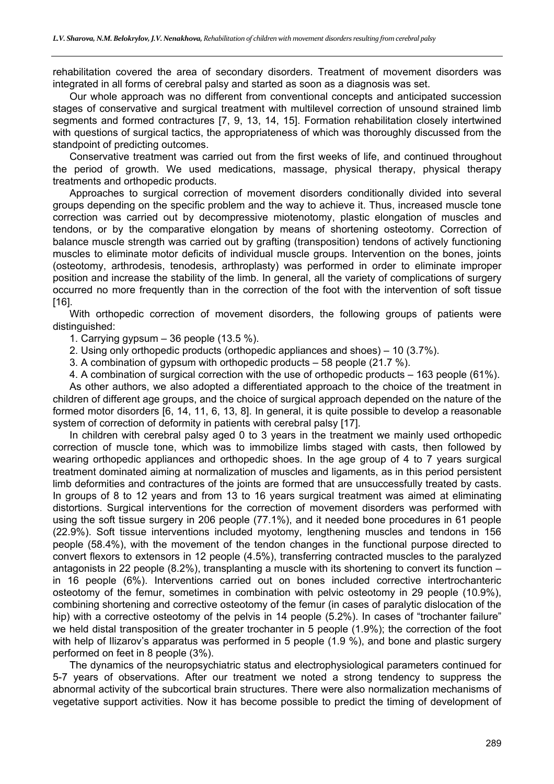rehabilitation covered the area of secondary disorders. Treatment of movement disorders was integrated in all forms of cerebral palsy and started as soon as a diagnosis was set.

Our whole approach was no different from conventional concepts and anticipated succession stages of conservative and surgical treatment with multilevel correction of unsound strained limb segments and formed contractures [7, 9, 13, 14, 15]. Formation rehabilitation closely intertwined with questions of surgical tactics, the appropriateness of which was thoroughly discussed from the standpoint of predicting outcomes.

Conservative treatment was carried out from the first weeks of life, and continued throughout the period of growth. We used medications, massage, physical therapy, physical therapy treatments and orthopedic products.

Approaches to surgical correction of movement disorders conditionally divided into several groups depending on the specific problem and the way to achieve it. Thus, increased muscle tone correction was carried out by decompressive miotenotomy, plastic elongation of muscles and tendons, or by the comparative elongation by means of shortening osteotomy. Correction of balance muscle strength was carried out by grafting (transposition) tendons of actively functioning muscles to eliminate motor deficits of individual muscle groups. Intervention on the bones, joints (osteotomy, arthrodesis, tenodesis, arthroplasty) was performed in order to eliminate improper position and increase the stability of the limb. In general, all the variety of complications of surgery occurred no more frequently than in the correction of the foot with the intervention of soft tissue [16].

With orthopedic correction of movement disorders, the following groups of patients were distinguished:

1. Carrying gypsum  $-36$  people (13.5 %).

2. Using only orthopedic products (orthopedic appliances and shoes) – 10 (3.7%).

3. A combination of gypsum with orthopedic products – 58 people (21.7 %).

4. A combination of surgical correction with the use of orthopedic products – 163 people (61%). As other authors, we also adopted a differentiated approach to the choice of the treatment in children of different age groups, and the choice of surgical approach depended on the nature of the formed motor disorders [6, 14, 11, 6, 13, 8]. In general, it is quite possible to develop a reasonable system of correction of deformity in patients with cerebral palsy [17].

In children with cerebral palsy aged 0 to 3 years in the treatment we mainly used orthopedic correction of muscle tone, which was to immobilize limbs staged with casts, then followed by wearing orthopedic appliances and orthopedic shoes. In the age group of 4 to 7 years surgical treatment dominated aiming at normalization of muscles and ligaments, as in this period persistent limb deformities and contractures of the joints are formed that are unsuccessfully treated by casts. In groups of 8 to 12 years and from 13 to 16 years surgical treatment was aimed at eliminating distortions. Surgical interventions for the correction of movement disorders was performed with using the soft tissue surgery in 206 people (77.1%), and it needed bone procedures in 61 people (22.9%). Soft tissue interventions included myotomy, lengthening muscles and tendons in 156 people (58.4%), with the movement of the tendon changes in the functional purpose directed to convert flexors to extensors in 12 people (4.5%), transferring contracted muscles to the paralyzed antagonists in 22 people (8.2%), transplanting a muscle with its shortening to convert its function  $$ in 16 people (6%). Interventions carried out on bones included corrective intertrochanteric osteotomy of the femur, sometimes in combination with pelvic osteotomy in 29 people (10.9%), combining shortening and corrective osteotomy of the femur (in cases of paralytic dislocation of the hip) with a corrective osteotomy of the pelvis in 14 people (5.2%). In cases of "trochanter failure" we held distal transposition of the greater trochanter in 5 people (1.9%); the correction of the foot with help of Ilizarov's apparatus was performed in 5 people (1.9 %), and bone and plastic surgery performed on feet in 8 people (3%).

The dynamics of the neuropsychiatric status and electrophysiological parameters continued for 5-7 years of observations. After our treatment we noted a strong tendency to suppress the abnormal activity of the subcortical brain structures. There were also normalization mechanisms of vegetative support activities. Now it has become possible to predict the timing of development of